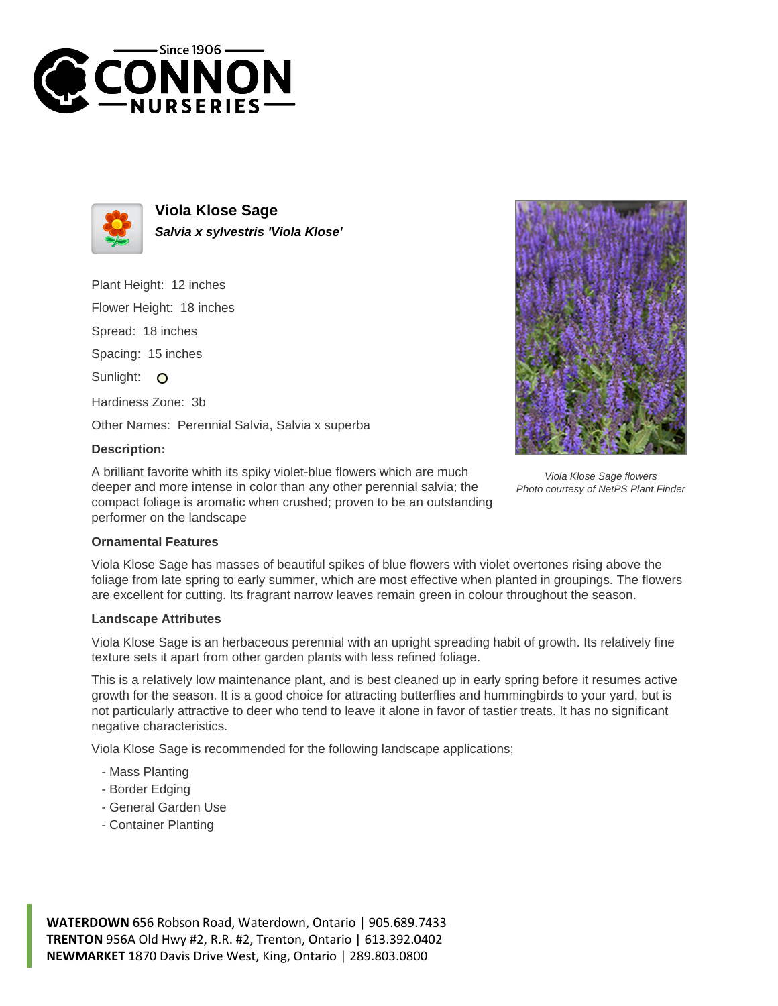



**Viola Klose Sage Salvia x sylvestris 'Viola Klose'**

Plant Height: 12 inches

Flower Height: 18 inches

Spread: 18 inches

Spacing: 15 inches

Sunlight: O

Hardiness Zone: 3b

Other Names: Perennial Salvia, Salvia x superba

## **Description:**

A brilliant favorite whith its spiky violet-blue flowers which are much deeper and more intense in color than any other perennial salvia; the compact foliage is aromatic when crushed; proven to be an outstanding performer on the landscape



Viola Klose Sage flowers Photo courtesy of NetPS Plant Finder

## **Ornamental Features**

Viola Klose Sage has masses of beautiful spikes of blue flowers with violet overtones rising above the foliage from late spring to early summer, which are most effective when planted in groupings. The flowers are excellent for cutting. Its fragrant narrow leaves remain green in colour throughout the season.

## **Landscape Attributes**

Viola Klose Sage is an herbaceous perennial with an upright spreading habit of growth. Its relatively fine texture sets it apart from other garden plants with less refined foliage.

This is a relatively low maintenance plant, and is best cleaned up in early spring before it resumes active growth for the season. It is a good choice for attracting butterflies and hummingbirds to your yard, but is not particularly attractive to deer who tend to leave it alone in favor of tastier treats. It has no significant negative characteristics.

Viola Klose Sage is recommended for the following landscape applications;

- Mass Planting
- Border Edging
- General Garden Use
- Container Planting

**WATERDOWN** 656 Robson Road, Waterdown, Ontario | 905.689.7433 **TRENTON** 956A Old Hwy #2, R.R. #2, Trenton, Ontario | 613.392.0402 **NEWMARKET** 1870 Davis Drive West, King, Ontario | 289.803.0800